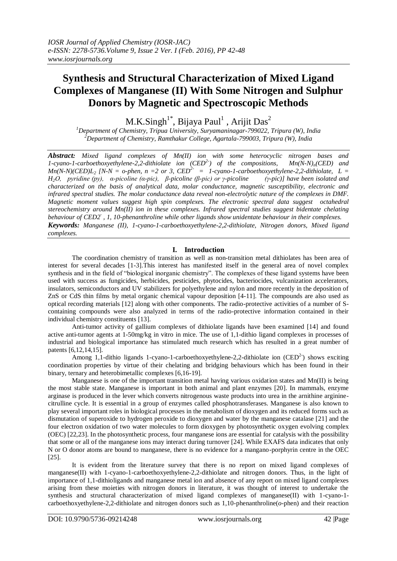# **Synthesis and Structural Characterization of Mixed Ligand Complexes of Manganese (II) With Some Nitrogen and Sulphur Donors by Magnetic and Spectroscopic Methods**

M.K.Singh $^{1^*}$ , Bijaya Paul $^1$  , Arijit Das $^2$ 

*<sup>1</sup>Department of Chemistry, Tripua University, Suryamaninagar-799022, Tripura (W), India <sup>2</sup>Department of Chemistry, Ramthakur College, Agartala-799003, Tripura (W), India*

*Abstract: Mixed ligand complexes of Mn(II) ion with some heterocyclic nitrogen bases and 1-cyano-1-carboethoxyethylene-2,2-dithiolate ion (CED<sup>2-</sup>) of the compositions,*  $Mn(N-N)<sub>n</sub>(CED)$  *and 1-cyano-1-carboethoxyethylene-2,2-dithiolate ion (CED2- ) of the compositions, Mn(N-N)n(CED) and*   $Mn(N-N)(CED)L<sub>2</sub>$  [N-N = o-phen, n = 2 or 3,  $CED<sup>2-</sup>$  = 1-cyano-1-carboethoxyethylene-2,2-dithiolate, L = *H2O, pyridine (py), α-picoline (α-pic), β-picoline (β-pic) or γ-picoline (γ-pic)] have been isolated and characterized on the basis of analytical data, molar conductance, magnetic susceptibility, electronic and infrared spectral studies. The molar conductance data reveal non-electrolytic nature of the complexes in DMF. Magnetic moment values suggest high spin complexes. The electronic spectral data suggest octahedral stereochemistry around Mn(II) ion in these complexes. Infrared spectral studies suggest bidentate chelating behaviour of CED2- , 1, 10-phenanthroline while other ligands show unidentate behaviour in their complexes. Keywords: Manganese (II), 1-cyano-1-carboethoxyethylene-2,2-dithiolate, Nitrogen donors, Mixed ligand complexes.*

# **I. Introduction**

The coordination chemistry of transition as well as non-transition metal dithiolates has been area of interest for several decades [1-3].This interest has manifested itself in the general area of novel complex synthesis and in the field of "biological inorganic chemistry". The complexes of these ligand systems have been used with success as fungicides, herbicides, pesticides, phytocides, bacteriocides, vulcanization accelerators, insulators, semiconductors and UV stabilizers for polyethylene and nylon and more recently in the deposition of ZnS or CdS thin films by metal organic chemical vapour deposition [4-11]. The compounds are also used as optical recording materials [12] along with other components. The radio-protective activities of a number of Scontaining compounds were also analyzed in terms of the radio-protective information contained in their individual chemistry constituents [13].

Anti-tumor activity of gallium complexes of dithiolate ligands have been examined [14] and found active anti-tumor agents at 1-50mg/kg in vitro in mice. The use of 1,1-dithio ligand complexes in processes of industrial and biological importance has stimulated much research which has resulted in a great number of patents [6,12,14,15].

Among 1,1-dithio ligands 1-cyano-1-carboethoxyethylene-2,2-dithiolate ion  $(CED<sup>2</sup>)$  shows exciting coordination properties by virtue of their chelating and bridging behaviours which has been found in their binary, ternary and heterobimetallic complexes [6,16-19].

Manganese is one of the important transition metal having various oxidation states and Mn(II) is being the most stable state. Manganese is important in both animal and plant enzymes [20]. In mammals, enzyme arginase is produced in the lever which converts nitrogenous waste products into urea in the arnithine argininecitrulline cycle. It is essential in a group of enzymes called phosphotransferases. Manganese is also known to play several important roles in biological processes in the metabolism of dioxygen and its reduced forms such as dismutation of superoxide to hydrogen peroxide to dioxygen and water by the manganese catalase [21] and the four electron oxidation of two water molecules to form dioxygen by photosynthetic oxygen evolving complex (OEC) [22,23]. In the photosynthetic process, four manganese ions are essential for catalysis with the possibility that some or all of the manganese ions may interact during turnover [24]. While EXAFS data indicates that only N or O donor atoms are bound to manganese, there is no evidence for a mangano-porphyrin centre in the OEC [25].

It is evident from the literature survey that there is no report on mixed ligand complexes of manganese(II) with 1-cyano-1-carboethoxyethylene-2,2-dithiolate and nitrogen donors. Thus, in the light of importance of 1,1-dithioligands and manganese metal ion and absence of any report on mixed ligand complexes arising from these moieties with nitrogen donors in literature, it was thought of interest to undertake the synthesis and structural characterization of mixed ligand complexes of manganese(II) with 1-cyano-1 carboethoxyethylene-2,2-dithiolate and nitrogen donors such as 1,10-phenanthroline(*o*-phen) and their reaction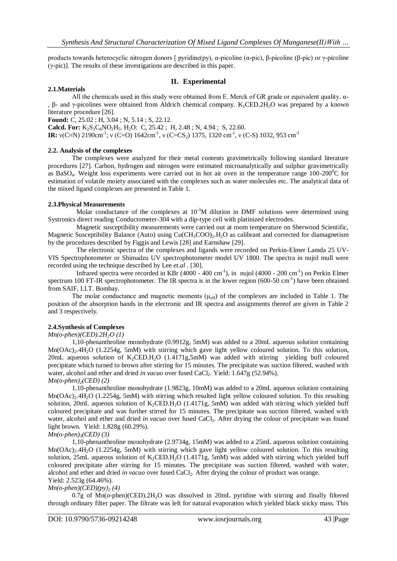products towards heterocyclic nitrogen donors [ pyridine(py), α-picoline (α-pic), β-picoline (β-pic) or γ-picoline (γ-pic)]. The results of these investigations are described in this paper.

## **II. Experimental**

## **2.1.Materials**

All the chemicals used in this study were obtained from E. Merck of GR grade or equivalent quality.  $\alpha$ -, β- and γ-picolines were obtained from Aldrich chemical company. K<sub>2</sub>CED.2H<sub>2</sub>O was prepared by a known literature procedure [26].

**Found:** C, 25.02 ; H, 3.04 ; N, 5.14 ; S, 22.12.

**Calcd. For:**  $K_2S_2C_6NO_2H_5$ . H<sub>2</sub>O: C, 25.42; H, 2.48; N, 4.94; S, 22.60.

**IR:**  $v(C \equiv N)$  2190cm<sup>-1</sup>;  $v(C = O)$  1642cm<sup>-1</sup>,  $v(C = CS_2)$  1375, 1320 cm<sup>-1</sup>,  $v(C-S)$  1032, 953 cm<sup>-1</sup>

## **2.2. Analysis of the complexes**

The complexes were analyzed for their metal contents gravimetrically following standard literature procedures [27]. Carbon, hydrogen and nitrogen were estimated microanalytically and sulphur gravimetrically as BaSO<sub>4</sub>. Weight loss experiments were carried out in hot air oven in the temperature range 100-200<sup>o</sup>C for estimation of volatile moiety associated with the complexes such as water molecules etc. The analytical data of the mixed ligand complexes are presented in Table 1.

## **2.3.Physical Measurements**

Molar conductance of the complexes at  $10^{-3}M$  dilution in DMF solutions were determined using Systronics direct reading Conductometer-304 with a dip-type cell with platinized electrodes.

 Magnetic susceptibility measurements were carried out at room temperature on Sherwood Scientific, Magnetic Susceptibility Balance (Auto) using  $Cu(CH_3COO)_2.H_2O$  as calibrant and corrected for diamagnetism by the procedures described by Figgis and Lewis [28] and Earnshaw [29].

 The electronic spectra of the complexes and ligands were recorded on Perkin-Elmer Lamda 25 UV-VIS Spectrophotometer or Shimadzu UV spectrophotometer model UV 1800. The spectra in nujol mull were recorded using the technique described by Lee *et.al .* [30].

Infrared spectra were recorded in KBr (4000 - 400 cm<sup>-1</sup>), in nujol (4000 - 200 cm<sup>-1</sup>) on Perkin Elmer spectrum 100 FT-IR spectrophotometer. The IR spectra is in the lower region  $(600-50 \text{ cm}^{-1})$  have been obtained from SAIF, I.I.T. Bombay.

The molar conductance and magnetic moments  $(\mu_{eff})$  of the complexes are included in Table 1. The position of the absorption bands in the electronic and IR spectra and assignments thereof are given in Table 2 and 3 respectively.

## **2.4.Synthesis of Complexes**

## *Mn(o-phen)(CED).2H2O (1)*

1,10-phenanthroline monohydrate (0.9912g, 5mM) was added to a 20mL aqueous solution containing  $Mn(OAc)_{2}$ .4H<sub>2</sub>O (1.2254g, 5mM) with stirring which gave light yellow coloured solution. To this solution, 20mL aqueous solution of  $K_2$ CED.H<sub>2</sub>O (1.4171g,5mM) was added with stirring yielding buff coloured precipitate which turned to brown after stirring for 15 minutes. The precipitate was suction filtered, washed with water, alcohol and ether and dried *in vacuo* over fused CaCl<sub>2</sub>. Yield: 1.647g (52.94%). *Mn(o-phen)2(CED) (2)*

1,10-phenanthroline monohydrate (1.9823g, 10mM) was added to a 20mL aqueous solution containing Mn(OAc)<sub>2</sub>.4H<sub>2</sub>O (1.2254g, 5mM) with stirring which resulted light yellow coloured solution. To this resulting solution, 20mL aqueous solution of  $K_2$ CED.H<sub>2</sub>O (1.4171g, 5mM) was added with stirring which yielded buff coloured precipitate and was further stirred for 15 minutes. The precipitate was suction filtered, washed with water, alcohol and ether and dried *in vacuo* over fused CaCl<sub>2</sub>. After drying the colour of precipitate was found light brown. Yield: 1.828g (60.29%).

## *Mn(o-phen)3(CED) (3)*

1,10-phenanthroline monohydrate (2.9734g, 15mM) was added to a 25mL aqueous solution containing Mn(OAc)<sub>2</sub>.4H<sub>2</sub>O (1.2254g, 5mM) with stirring which gave light yellow coloured solution. To this resulting solution, 25mL aqueous solution of  $K_2$ CED.H<sub>2</sub>O (1.4171g, 5mM) was added with stirring which yielded buff coloured precipitate after stirring for 15 minutes. The precipitate was suction filtered, washed with water, alcohol and ether and dried *in vacuo* over fused CaCl<sub>2</sub>. After drying the colour of product was orange. Yield: 2.523g (64.46%).

# $Mn(o\text{-}phen)(CED)(pv)$ <sup>2</sup> (4)

 $0.7g$  of Mn( $o$ -phen)(CED).2H<sub>2</sub>O was dissolved in 20mL pyridine with stirring and finally filtered through ordinary filter paper. The filtrate was left for natural evaporation which yielded black sticky mass. This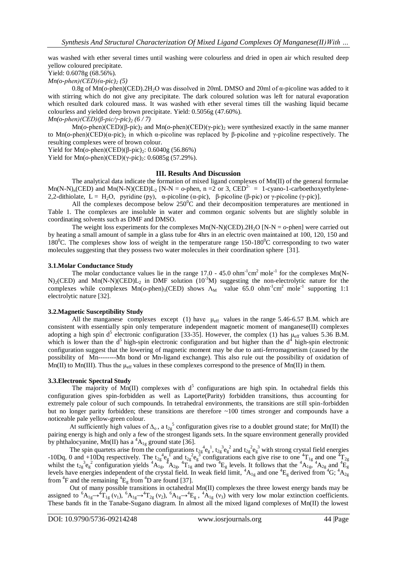was washed with ether several times until washing were colourless and dried in open air which resulted deep yellow coloured precipitate.

Yield: 0.6078g (68.56%).

 $Mn(o\text{-}phen)(CED)(\alpha\text{-}pic)$ <sub>2</sub> (5)

 0.8g of Mn(*o*-phen)(CED).2H2O was dissolved in 20mL DMSO and 20ml of α-picoline was added to it with stirring which do not give any precipitate. The dark coloured solution was left for natural evaporation which resulted dark coloured mass. It was washed with ether several times till the washing liquid became colourless and yielded deep brown precipitate. Yield: 0.5056g (47.60%).

*Mn(o-phen)(CED)(β-pic/γ-pic)<sup>2</sup> (6 / 7)*

Mn(*o*-phen)(CED)(β-pic)<sub>2</sub> and Mn(*o*-phen)(CED)(γ-pic)<sub>2</sub> were synthesized exactly in the same manner to Mn(*o*-phen)(CED)(α-pic)<sup>2</sup> in which α-picoline was replaced by β-picoline and γ-picoline respectively. The resulting complexes were of brown colour.

Yield for Mn( $o$ -phen)(CED)(β-pic)<sub>2</sub>: 0.6040g (56.86%)

Yield for Mn( $o$ -phen)(CED)(γ-pic)<sub>2</sub>: 0.6085g (57.29%).

## **III. Results And Discussion**

The analytical data indicate the formation of mixed ligand complexes of Mn(II) of the general formulae  $\text{Mn}(N-N)_{n}(CED)$  and  $\text{Mn}(N-N)(CED)L_{2}$  [N-N = *o*-phen, n = 2 or 3, CED<sup>2-</sup> = 1-cyano-1-carboethoxyethylene-2,2-dithiolate, L = H<sub>2</sub>O, pyridine (py), α-picoline (α-pic), β-picoline (β-pic) or γ-picoline (γ-pic)].

All the complexes decompose below  $250^{\circ}$ C and their decomposition temperatures are mentioned in Table 1. The complexes are insoluble in water and common organic solvents but are slightly soluble in coordinating solvents such as DMF and DMSO.

The weight loss experiments for the complexes  $Mn(N-N)(\text{CED})$ .  $2H_2O$  [N-N =  $o$ -phen] were carried out by heating a small amount of sample in a glass tube for 4hrs in an electric oven maintained at 100, 120, 150 and 180<sup>o</sup>C. The complexes show loss of weight in the temperature range 150-180<sup>o</sup>C corresponding to two water molecules suggesting that they possess two water molecules in their coordination sphere [31].

#### **3.1.Molar Conductance Study**

The molar conductance values lie in the range  $17.0 - 45.0$  ohm<sup>-1</sup>cm<sup>2</sup> mole<sup>-1</sup> for the complexes Mn(N- $N$ <sub>2</sub>(CED) and Mn(N-N)(CED) $L_2$  in DMF solution (10<sup>-3</sup>M) suggesting the non-electrolytic nature for the complexes while complexes  $Mn(o\text{-phen})_3(CED)$  shows  $\Lambda_M$  value 65.0 ohm<sup>-1</sup>cm<sup>2</sup> mole<sup>-1</sup> supporting 1:1 electrolytic nature [32].

## **3.2.Magnetic Susceptibility Study**

All the manganese complexes except (1) have  $\mu_{\text{eff}}$  values in the range 5.46-6.57 B.M. which are consistent with essentially spin only temperature independent magnetic moment of manganese(II) complexes adopting a high spin d<sup>5</sup> electronic configuration [33-35]. However, the complex (1) has  $\mu_{eff}$  values 5.36 B.M. which is lower than the  $d^5$  high-spin electronic configuration and but higher than the  $d^4$  high-spin electronic configuration suggest that the lowering of magnetic moment may be due to anti-ferromagnetism (caused by the possibility of Mn--------Mn bond or Mn-ligand exchange). This also rule out the possibility of oxidation of Mn(II) to Mn(III). Thus the  $\mu_{\text{eff}}$  values in these complexes correspond to the presence of Mn(II) in them.

## **3.3.Electronic Spectral Study**

The majority of Mn(II) complexes with  $d^5$  configurations are high spin. In octahedral fields this configuration gives spin-forbidden as well as Laporte(Parity) forbidden transitions, thus accounting for extremely pale colour of such compounds. In tetrahedral environments, the transitions are still spin-forbidden but no longer parity forbidden; these transitions are therefore ~100 times stronger and compounds have a noticeable pale yellow-green colour.

At sufficiently high values of  $\Delta_0$ , a t<sub>2g</sub><sup>5</sup> configuration gives rise to a doublet ground state; for Mn(II) the pairing energy is high and only a few of the strongest ligands sets. In the square environment generally provided by phthalocyanine, Mn(II) has a  ${}^{4}A_{1g}$  ground state [36].

The spin quartets arise from the configurations  $t_{2g}^4 e_g^1$ ,  $t_{2g}^3 e_g^2$  and  $t_{2g}^2 e_g^3$  with strong crystal field energies -10Dq, 0 and +10Dq respectively. The t<sub>2g</sub> e<sub>g</sub><sup>1</sup> and t<sub>2g</sub> e<sub>g</sub><sup>3</sup> configurations each give rise to one <sup>4</sup>T<sub>1g</sub> and one <sup>4</sup>T<sub>2g</sub> whilst the  $t_{2g}^{3}e_g^2$  configuration yields  ${}^4A_{1g}$ ,  ${}^4A_{2g}$ ,  ${}^4T_{1g}$  and two  ${}^4E_g$  levels. It follows that the  ${}^4A_{1g}$ ,  ${}^4A_{2g}$  and  ${}^4E_g$ levels have energies independent of the crystal field. In weak field limit,  ${}^4A_{1g}$  and one  ${}^4E_g$  derived from  ${}^4G$ ;  ${}^4A_{2g}$ from  ${}^{4}F$  and the remaining  ${}^{4}E_g$  from  ${}^{4}D$  are found [37].

 Out of many possible transitions in octahedral Mn(II) complexes the three lowest energy bands may be assigned to  ${}^{6}A_{1g} \rightarrow {}^{4}T_{1g}$  (v<sub>1</sub>),  ${}^{6}A_{1g} \rightarrow {}^{4}T_{2g}$  (v<sub>2</sub>),  ${}^{6}A_{1g} \rightarrow {}^{4}E_{g}$ ,  ${}^{4}A_{1g}$  (v<sub>3</sub>) with very low molar extinction coefficients. These bands fit in the Tanabe-Sugano diagram. In almost all the mixed ligand complexes of Mn(II) the lowest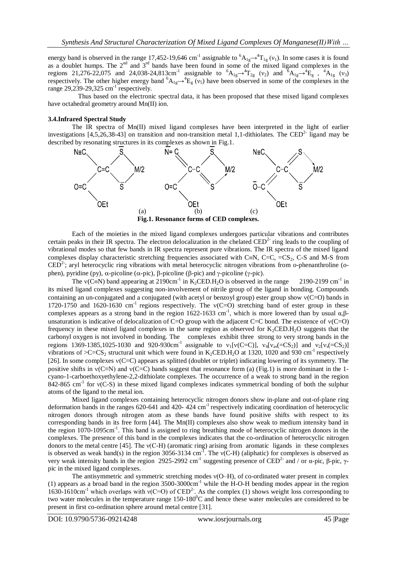energy band is observed in the range 17,452-19,646 cm<sup>-1</sup> assignable to  ${}^6A_{1g} \rightarrow {}^4T_{1g}$  (v<sub>1</sub>). In some cases it is found as a doublet humps. The  $2<sup>nd</sup>$  and  $3<sup>rd</sup>$  bands have been found in some of the mixed ligand complexes in the regions 21,276-22,075 and 24,038-24,813cm<sup>-1</sup> assignable to  ${}^{6}A_{1g} \rightarrow {}^{4}T_{2g}$  (v<sub>2</sub>) and  ${}^{6}A_{1g} \rightarrow {}^{4}E_{g}$ ,  ${}^{4}A_{1g}$  (v<sub>3</sub>) respectively. The other higher energy band  ${}^{6}A_{1g} \rightarrow {}^{4}E_{g}$  ( $v_5$ ) have been observed in some of the complexes in the range 29,239-29,325 cm<sup>-1</sup> respectively.

 Thus based on the electronic spectral data, it has been proposed that these mixed ligand complexes have octahedral geometry around Mn(II) ion.

#### **3.4.Infrared Spectral Study**

The IR spectra of Mn(II) mixed ligand complexes have been interpreted in the light of earlier investigations  $[4,5,26,38-43]$  on transition and non-transition metal 1,1-dithiolates. The CED<sup>2-</sup> ligand may be described by resonating structures in its complexes as shown in Fig.1.



Each of the moieties in the mixed ligand complexes undergoes particular vibrations and contributes certain peaks in their IR spectra. The electron delocalization in the chelated CED<sup>2-</sup> ring leads to the coupling of vibrational modes so that few bands in IR spectra represent pure vibrations. The IR spectra of the mixed ligand complexes display characteristic stretching frequencies associated with C $=N$ , C $-C$ ,  $-CS<sub>2</sub>$ , C-S and M-S from CED<sup>2-</sup>; aryl heterocyclic ring vibrations with metal heterocyclic nitrogen vibrations from *o*-phenanthroline (*o*phen), pyridine (py),  $\alpha$ -picoline ( $\alpha$ -pic),  $\beta$ -picoline ( $\beta$ -pic) and  $\gamma$ -picoline ( $\gamma$ -pic).

The  $v(C=N)$  band appearing at 2190cm<sup>-1</sup> in K<sub>2</sub>CED.H<sub>2</sub>O is observed in the range 2190-2199 cm<sup>-1</sup> 2190-2199 cm<sup>-1</sup> in its mixed ligand complexes suggesting non-involvement of nitrile group of the ligand in bonding. Compounds containing an un-conjugated and a conjugated (with acetyl or benzoyl group) ester group show  $v(C=0)$  bands in 1720-1750 and 1620-1630 cm<sup>-1</sup> regions respectively. The  $v(C=O)$  stretching band of ester group in these complexes appears as a strong band in the region 1622-1633 cm<sup>-1</sup>, which is more lowered than by usual α,βunsaturation is indicative of delocalization of  $C=O$  group with the adjacent  $C=C$  bond. The existence of  $v(C=O)$ frequency in these mixed ligand complexes in the same region as observed for  $K_2$ CED.H<sub>2</sub>O suggests that the carbonyl oxygen is not involved in bonding. The complexes exhibit three strong to very strong bands in the regions 1369-1385,1025-1030 and 920-930cm<sup>-1</sup> assignable to  $v_1[v(C=C)]$ ,  $v_4[v_{as} (=CS_2)]$  and  $v_2[v_s (=CS_2)]$ vibrations of  $>C=CS_2$  structural unit which were found in K<sub>2</sub>CED.H<sub>2</sub>O at 1320, 1020 and 930 cm<sup>-1</sup> respectively [26]. In some complexes  $v(C=C)$  appears as splitted (doublet or triplet) indicating lowering of its symmetry. The positive shifts in  $v(C=N)$  and  $v(C=C)$  bands suggest that resonance form (a) (Fig.1) is more dominant in the 1cyano-1-carboethoxyethylene-2,2-dithiolate complexes. The occurrence of a weak to strong band in the region  $842-865$  cm<sup>-1</sup> for v(C-S) in these mixed ligand complexes indicates symmetrical bonding of both the sulphur atoms of the ligand to the metal ion.

Mixed ligand complexes containing heterocyclic nitrogen donors show in-plane and out-of-plane ring deformation bands in the ranges  $620-641$  and  $420-424$  cm<sup>-1</sup> respectively indicating coordination of heterocyclic nitrogen donors through nitrogen atom as these bands have found positive shifts with respect to its corresponding bands in its free form  $[44]$ . The Mn(II) complexes also show weak to medium intensity band in the region 1070-1095cm<sup>-1</sup>. This band is assigned to ring breathing mode of heterocyclic nitrogen donors in the complexes. The presence of this band in the complexes indicates that the co-ordination of heterocyclic nitrogen donors to the metal centre [45]. The ν(C-H) (aromatic ring) arising from aromatic ligands in these complexes is observed as weak band(s) in the region 3056-3134 cm<sup>-1</sup>. The  $v(C-H)$  (aliphatic) for complexes is observed as very weak intensity bands in the region 2925-2992 cm<sup>-1</sup> suggesting presence of CED<sup>2-</sup> and / or α-pic, β-pic, γpic in the mixed ligand complexes.

The antisymmetric and symmetric stretching modes ν(O–H), of co-ordinated water present in complex (1) appears as a broad band in the region 3500-3000cm-1 while the H-O-H bending modes appear in the region 1630-1610cm<sup>-1</sup> which overlaps with  $v(C=O)$  of  $CED<sup>2</sup>$ . As the complex (1) shows weight loss corresponding to two water molecules in the temperature range  $150-180^{\circ}$ C and hence these water molecules are considered to be present in first co-ordination sphere around metal centre [31].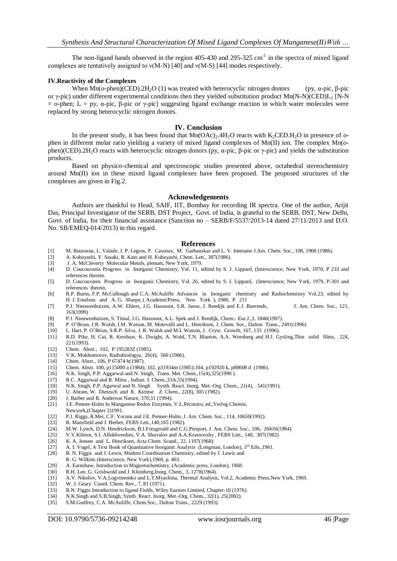The non-ligand bands observed in the region  $405-430$  and  $295-325$  cm<sup>-1</sup> in the spectra of mixed ligand complexes are tentatively assigned to  $v(M-N)$  [40] and  $v(M-S)$  [44] modes respectively.

#### **IV.Reactivity of the Complexes**

When Mn( $o$ -phen)(CED).2H<sub>2</sub>O (1) was treated with heterocyclic nitrogen donors (py, α-pic, β-pic or γ-pic) under different experimental conditions then they yielded substitution product Mn(N-N)(CED)L<sub>2</sub> [N-N  $=$  *o*-phen; L = py, α-pic, β-pic or γ-pic] suggesting ligand exchange reaction in which water molecules were replaced by strong heterocyclic nitrogen donors.

## **IV. Conclusion**

In the present study, it has been found that  $Mn(OAc)_2.4H_2O$  reacts with  $K_2CED.H_2O$  in presence of  $o$ phen in different molar ratio yielding a variety of mixed ligand complexes of Mn(II) ion. The complex Mn(*o*phen)(CED).2H2O reacts with heterocyclic nitrogen donors (py, α-pic, β-pic or γ-pic) and yields the substitution products.

Based on physico-chemical and spectroscopic studies presented above, octahedral stereochemistry around Mn(II) ion in these mixed ligand complexes have been proposed. The proposed structures of the complexes are given in Fig.2.

#### **Acknowledgements**

Authors are thankful to Head, SAIF, IIT, Bombay for recording IR spectra. One of the author, Arijit Das, Principal Investigator of the SERB, DST Project, Govt. of India, is grateful to the SERB, DST, New Delhi, Govt. of India, for their financial assistance (Sanction no – SERB/F/5537/2013-14 dated 27/11/2013 and D.O. No. SB/EMEQ-014/2013) in this regard.

#### **References**

- [1] M. Bousseau, L. Valade, J. P. Legros, P. Cassoux, M. Garbauskas and L. V. Interante J.Am. Chem. Soc., 108, 1908 (1986).
- [2] A. Kobayashi, Y. Sasaki, R. Kato and H. Kobayashi, Chem. Lett., 387(1986).
- [3] J. A. McCleverty Molecular Metals, plenum, New York, 1979.
- [4] D. Coucouvanis Progress in Inorganic Chemistry, Vol. 11, edited by S. J. Lippard, (Interscience, New York, 1970, P 233 and references therein.
- [5] D. Coucouvanis Progress in Inorganic Chemistry, Vol. 26, edited by S. J. Lippard, (Interscience, New York, 1979, P-301 and references therein.
- [6] R.P. Burns, F.P. McCullough and C.A. McAuliffe Advances in Inorganic chemistry and Radiochemistry Vol.23, edited by H. J. Emeleus and A. G. Sharpe, ( AcademicPress, New York ), 1980, P. 211
- [7] P.J. Nieuwenhuizen, A.W. Ehlers, J.G. Hassnoot, S.R. Janse, J. Reedijk and E.J. Baerends, J. Am. Chem. Soc., 121, 163(1999)
- [8] P.J. Nieuwenhuizen, S. Timal, J.G. Hassnoot, A.L. Spek and J. Reedijk, Chem.- Eur.J.,3, 1846(1997).
- [9] P. O'Brien, J.R. Walsh, I.M. Watson, M. Motevalli and L. Henriksen, J. Chem. Soc., Dalton Trans., 2491(1996)<br>[10] L. Hart, P. O'Brien, S.R.P. Silva, J. R. Walsh and M.I. Watson, J. Cryst. Growth, 167, 133 (1996).
- L. Hart, P. O'Brien, S.R.P. Silva, J. R. Walsh and M.I. Watson, J. Cryst. Growth, 167, 133 (1996).
- [11] R.D. Pike, H. Cui, R. Kershaw, K. Dwight, A. Wold, T.N. Blanton, A.A. Wernberg and H.J. Gysling,Thin solid films, 224, 221(1993).
- [12] Chem. Abstr., 102, P 195283Z (1985).
- [13] V.K. Mukhomorov, Radiobiologya, 26(4), 560 (1986).
- Chem. Abstr., 106, P 67474 h(1987).
- [15] Chem. Abstr. 100, p115000 a (1984); 102, p31934m (1985);104, p192920 k, p88608 d (1986).
- [16] N.K. Singh, P.P. Aggarwal and N. Singh, Trans. Met. Chem.,15(4),325(1990 ).
- 
- [17] R.C. Aggarwal and R. Mitra , Indian. J. Chem.,33A,55(1994). N.K. Singh, P.P. Agarwal and N. Singh Synth. React. Inorg. Met.-Org. Chem., 21(4), 541(1991).
- [19] U. Abram, W. Dietzsch and R. Kirmse Z. Chem., 22(8), 305 (1982).
- 
- [20] J. Barber and B. Anderson Nature, 370,31 (1994);<br>[21] J.E. Penner-Holm In Manganese Redox Enzymes, J.E. Penner-Holm In Manganese Redox Enzymes, V.L.Pecoraro, ed.,Verlog Chemie,
- Newyork, (Chapter 2) 1991.<br>[22] P.J. Riggs, R.Mei, C.F. Yoo [22] P.J. Riggs, R.Mei, C.F. Yocum and J.E. Penner-Holm, J. Am. Chem. Soc., 114, 10650(1992).
- [23] R. Mansfield and J. Berber, FEBS Lett.,140,165 (1982).
- [24] M.W. Lynch, D.N. Hendrickson, B.J.Fotzgerald and C.G.Pierport, J. Am. Chem. Soc., 106, 20416(1984).<br>[25] V.V. Kilmor, S.I. Allokhverdies, V.A. Shuvalov and A.A. Krasnovshy, FEBS Lett., 140, 307(1982)
- [25] V.V.Kilmor, S.I. Allokhverdies, V.A. Shuvalov and A.A.Krasnovshy , FEBS Lett., 140, 307(1982)
- [26] K. A. Jensen and L. Henriksen, Acta Chem. Scand., 22, 1107(1968)<br>[27] A. I. Vogel, A Text Book of Quantitative Inorganic Analysis (Longn
- A. I. Vogel, A Text Book of Quantitative Inorganic Analysis (Longman, London), 3<sup>rd</sup> Edn.,1961.
- [28] B. N. Figgis and J. Lewis, Modern Coordination Chemistry, edited by J. Lewis and
- R. G. Wilkins (Interscience, New York),1960, p. 403.
- [29] A. Earnshaw, Introduction to Magnetochemistry, (Academic press, London), 1968.<br>[30] R.H. Lee, G. Grishwold and J. Kleinberg, Inorg. Chem., 3, 1278(1964).
- [30] R.H. Lee, G. Grishwold and J. Kleinberg, Inorg. Chem., 3, 1278(1964).<br>[31] A.V. Nikolov, V.A.Logvineenko and L.T.Myachina, Thermal Analysis
- [31] A.V. Nikolov, V.A.Logvineenko and L.T.Myachina, Thermal Analysis, Vol.2, Academic Press,New York, 1969.
- W. J. Geary Coord. Chem. Rev., 7, 81 (1971).
- [33] B.N. Figgis Introduction to ligand Fields, Wiley Eastern Limited, Chapter-10 (1976).
- [34] N.K.Singh and S.B.Singh, Synth. React. Inorg. Met.-Org. Chem., 32(1), 25(2002).
- [35] S.M.Godfrey, C.A. McAuliffe, Chem.Soc., Dalton Trans., 2229 (1993).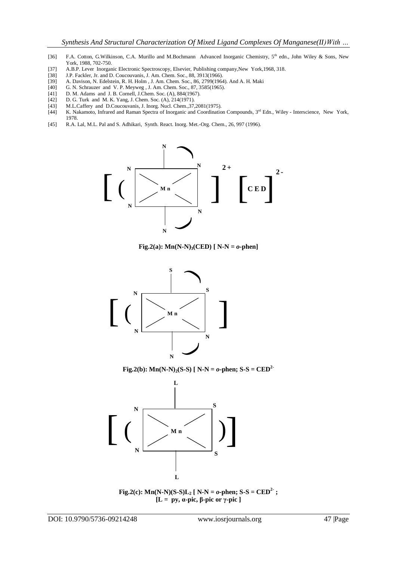- [36] F.A. Cotton, G.Wilkinson, C.A. Murillo and M.Bochmann Advanced Inorganic Chemistry, 5<sup>th</sup> edn., John Wiley & Sons, New York, 1988, 702-750.
- [37] A.B.P. Lever Inorganic Electronic Spectroscopy, Elsevier, Publishing company, New York, 1968, 318. [38] J.P. Fackler, Jr. and D. Coucouvanis, J. Am. Chem. Soc., 88, 3913(1966).
- J.P. Fackler, Jr. and D. Coucouvanis, J. Am. Chem. Soc., 88, 3913(1966).
- [39] A. Davison, N. Edelstein, R. H. Holm , J. Am. Chem. Soc., 86, 2799(1964). And A. H. Maki [40] G. N. Schrauzer and V. P. Meyweg , J. Am. Chem. Soc., 87, 3585(1965).
- [40] G. N. Schrauzer and V. P. Meyweg , J. Am. Chem. Soc., 87, 3585(1965).<br>[41] D. M. Adams and J. B. Cornell, J.Chem. Soc. (A), 884(1967).
- [41] D. M. Adams and J. B. Cornell, J. Chem. Soc. (A), 884(1967).<br>[42] D. G. Turk and M. K. Yang, J. Chem. Soc. (A), 214(1971).
- D. G. Turk and M. K. Yang, J. Chem. Soc. (A), 214(1971).
- [43] M.L.Caffery and D.Coucouvanis, J. Inorg. Nucl. Chem., 37, 2081 (1975).<br>[44] K. Nakamoto, Infrared and Raman Spectra of Inorganic and Coordinatio
- K. Nakamoto, Infrared and Raman Spectra of Inorganic and Coordination Compounds, 3rd Edn., Wiley Interscience, New York, 1978.
- [45] R.A. Lal, M.L. Pal and S. Adhikari, Synth. React. Inorg. Met.-Org. Chem., 26, 997 (1996).



**Fig.2(a):**  $Mn(N-N)$ <sup>3</sup>(CED) [ N-N =  $o$ -phen]



**Fig.2(b):** Mn(N-N)<sub>2</sub>(S-S) [ N-N =  $o$ -phen; S-S = CED<sup>2</sup>



**Fig.2(c):** Mn(N-N)(S-S) $L_2$  [ N-N =  $o$ -phen; S-S = CED<sup>2</sup>; **[L = py, α-pic, β-pic or γ-pic ]**